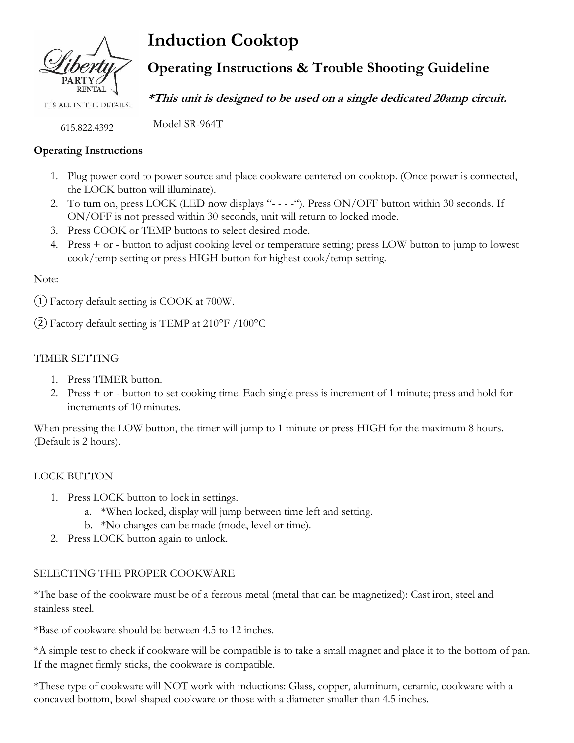

IT'S ALL IN THE DETAILS.

615.822.4392

# **Operating Instructions**

- 1. Plug power cord to power source and place cookware centered on cooktop. (Once power is connected, the LOCK button will illuminate).
- 2. To turn on, press LOCK (LED now displays "----"). Press ON/OFF button within 30 seconds. If ON/OFF is not pressed within 30 seconds, unit will return to locked mode.
- 3. Press COOK or TEMP buttons to select desired mode.
- 4. Press + or button to adjust cooking level or temperature setting; press LOW button to jump to lowest cook/temp setting or press HIGH button for highest cook/temp setting.

# Note:

 $(1)$  Factory default setting is COOK at 700W.

(2) Factory default setting is TEMP at  $210^{\circ}$ F /100°C

# TIMER SETTING

- 1. Press TIMER button.
- 2. Press + or button to set cooking time. Each single press is increment of 1 minute; press and hold for increments of 10 minutes.

When pressing the LOW button, the timer will jump to 1 minute or press HIGH for the maximum 8 hours. (Default is 2 hours).

# LOCK BUTTON

- 1. Press LOCK button to lock in settings.
	- a. \*When locked, display will jump between time left and setting.
	- b. \*No changes can be made (mode, level or time).
- 2. Press LOCK button again to unlock.

# SELECTING THE PROPER COOKWARE

\*The base of the cookware must be of a ferrous metal (metal that can be magnetized): Cast iron, steel and stainless steel.

\*Base of cookware should be between 4.5 to 12 inches.

\*A simple test to check if cookware will be compatible is to take a small magnet and place it to the bottom of pan. If the magnet firmly sticks, the cookware is compatible.

\*These type of cookware will NOT work with inductions: Glass, copper, aluminum, ceramic, cookware with a concaved bottom, bowl-shaped cookware or those with a diameter smaller than 4.5 inches.

# **Induction Cooktop**

# **Operating Instructions & Trouble Shooting Guideline**

**\*This unit is designed to be used on a single dedicated 20amp circuit.**

Model SR-964T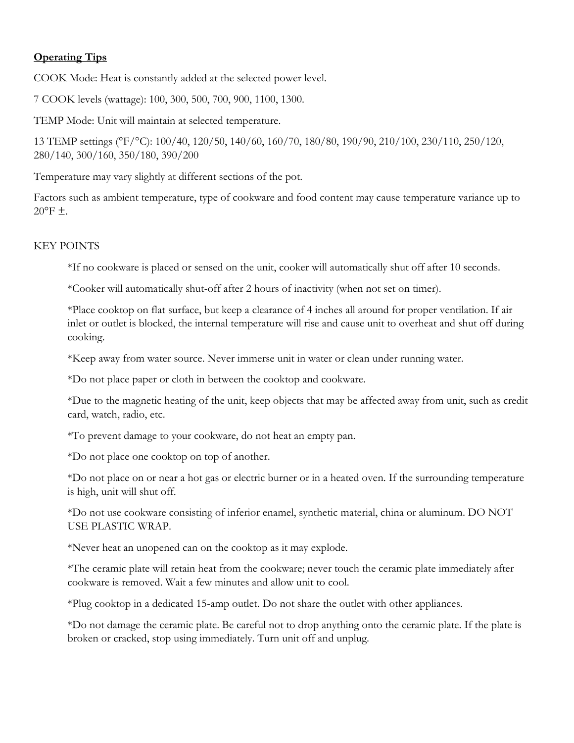# **Operating Tips**

COOK Mode: Heat is constantly added at the selected power level.

7 COOK levels (wattage): 100, 300, 500, 700, 900, 1100, 1300.

TEMP Mode: Unit will maintain at selected temperature.

13 TEMP settings (°F/°C): 100/40, 120/50, 140/60, 160/70, 180/80, 190/90, 210/100, 230/110, 250/120, 280/140, 300/160, 350/180, 390/200

Temperature may vary slightly at different sections of the pot.

Factors such as ambient temperature, type of cookware and food content may cause temperature variance up to  $20^{\circ}$ F  $\pm$ .

# KEY POINTS

\*If no cookware is placed or sensed on the unit, cooker will automatically shut off after 10 seconds.

\*Cooker will automatically shut-off after 2 hours of inactivity (when not set on timer).

\*Place cooktop on flat surface, but keep a clearance of 4 inches all around for proper ventilation. If air inlet or outlet is blocked, the internal temperature will rise and cause unit to overheat and shut off during cooking.

\*Keep away from water source. Never immerse unit in water or clean under running water.

\*Do not place paper or cloth in between the cooktop and cookware.

\*Due to the magnetic heating of the unit, keep objects that may be affected away from unit, such as credit card, watch, radio, etc.

\*To prevent damage to your cookware, do not heat an empty pan.

\*Do not place one cooktop on top of another.

\*Do not place on or near a hot gas or electric burner or in a heated oven. If the surrounding temperature is high, unit will shut off.

\*Do not use cookware consisting of inferior enamel, synthetic material, china or aluminum. DO NOT USE PLASTIC WRAP.

\*Never heat an unopened can on the cooktop as it may explode.

\*The ceramic plate will retain heat from the cookware; never touch the ceramic plate immediately after cookware is removed. Wait a few minutes and allow unit to cool.

\*Plug cooktop in a dedicated 15-amp outlet. Do not share the outlet with other appliances.

\*Do not damage the ceramic plate. Be careful not to drop anything onto the ceramic plate. If the plate is broken or cracked, stop using immediately. Turn unit off and unplug.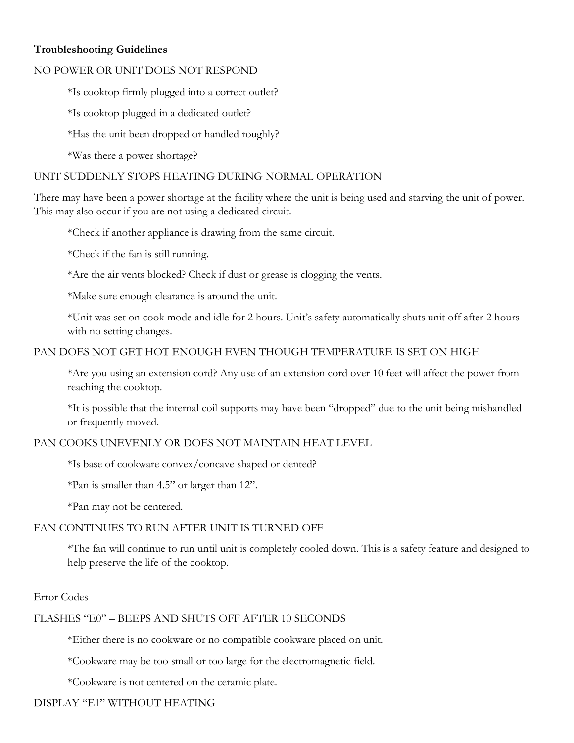# **Troubleshooting Guidelines**

# NO POWER OR UNIT DOES NOT RESPOND

\*Is cooktop firmly plugged into a correct outlet?

\*Is cooktop plugged in a dedicated outlet?

\*Has the unit been dropped or handled roughly?

\*Was there a power shortage?

# UNIT SUDDENLY STOPS HEATING DURING NORMAL OPERATION

There may have been a power shortage at the facility where the unit is being used and starving the unit of power. This may also occur if you are not using a dedicated circuit.

\*Check if another appliance is drawing from the same circuit.

\*Check if the fan is still running.

\*Are the air vents blocked? Check if dust or grease is clogging the vents.

\*Make sure enough clearance is around the unit.

\*Unit was set on cook mode and idle for 2 hours. Unit's safety automatically shuts unit off after 2 hours with no setting changes.

# PAN DOES NOT GET HOT ENOUGH EVEN THOUGH TEMPERATURE IS SET ON HIGH

\*Are you using an extension cord? Any use of an extension cord over 10 feet will affect the power from reaching the cooktop.

\*It is possible that the internal coil supports may have been "dropped" due to the unit being mishandled or frequently moved.

# PAN COOKS UNEVENLY OR DOES NOT MAINTAIN HEAT LEVEL

\*Is base of cookware convex/concave shaped or dented?

\*Pan is smaller than 4.5" or larger than 12".

\*Pan may not be centered.

# FAN CONTINUES TO RUN AFTER UNIT IS TURNED OFF

\*The fan will continue to run until unit is completely cooled down. This is a safety feature and designed to help preserve the life of the cooktop.

# Error Codes

# FLASHES "E0" – BEEPS AND SHUTS OFF AFTER 10 SECONDS

\*Either there is no cookware or no compatible cookware placed on unit.

\*Cookware may be too small or too large for the electromagnetic field.

\*Cookware is not centered on the ceramic plate.

# DISPLAY "E1" WITHOUT HEATING